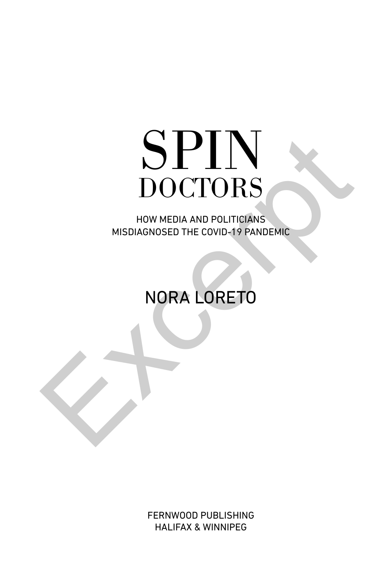# SPIN DOCTORS SPIN<br>DOCTORS<br>
HOW MEDIA AND POLITICIANS<br>
MISDIAGNOSED THE COVID-19 PANDEMIC<br>
NORA LORETO

HOW MEDIA AND POLITICIANS MISDIAGNOSED THE COVID-19 PANDEMIC

# NORA LORETO

FERNWOOD PUBLISHING HALIFAX & WINNIPEG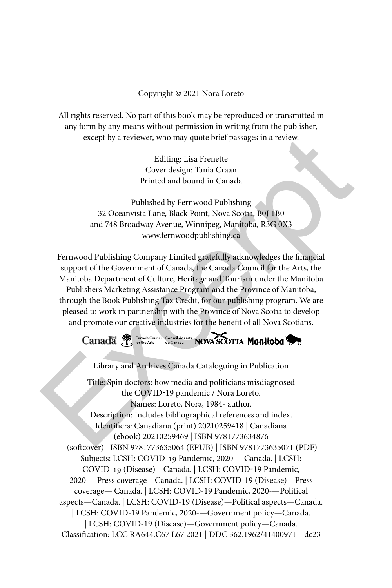### Copyright © 2021 Nora Loreto

All rights reserved. No part of this book may be reproduced or transmitted in any form by any means without permission in writing from the publisher, except by a reviewer, who may quote brief passages in a review.

> Editing: Lisa Frenette Cover design: Tania Craan Printed and bound in Canada

Published by Fernwood Publishing 32 Oceanvista Lane, Black Point, Nova Scotia, B0J 1B0 and 748 Broadway Avenue, Winnipeg, Manitoba, R3G 0X3 www.fernwoodpublishing.ca

Fernwood Publishing Company Limited gratefully acknowledges the financial support of the Government of Canada, the Canada Council for the Arts, the Manitoba Department of Culture, Heritage and Tourism under the Manitoba Publishers Marketing Assistance Program and the Province of Manitoba, through the Book Publishing Tax Credit, for our publishing program. We are pleased to work in partnership with the Province of Nova Scotia to develop and promote our creative industries for the benefit of all Nova Scotians.

Library and Archives Canada Cataloguing in Publication Title: Spin doctors: how media and politicians misdiagnosed the COVID-19 pandemic / Nora Loreto. Names: Loreto, Nora, 1984- author. Description: Includes bibliographical references and index. Identifiers: Canadiana (print) 20210259418 | Canadiana (ebook) 20210259469 | ISBN 9781773634876 (softcover) | ISBN 9781773635064 (EPUB) | ISBN 9781773635071 (PDF) Subjects: LCSH: COVID-19 Pandemic, 2020-—Canada. | LCSH: COVID-19 (Disease)—Canada. | LCSH: COVID-19 Pandemic, 2020-—Press coverage—Canada. | LCSH: COVID-19 (Disease)—Press coverage— Canada. | LCSH: COVID-19 Pandemic, 2020-—Political aspects—Canada. | LCSH: COVID-19 (Disease)—Political aspects—Canada. | LCSH: COVID-19 Pandemic, 2020-—Government policy—Canada. | LCSH: COVID-19 (Disease)—Government policy—Canada. Classification: LCC RA644.C67 L67 2021 | DDC 362.1962/41400971—dc23 except by a reviewer, who may quote brief passages in a review.<br>
Editing: Lisa Frenette<br>
Cover design: Tania Craan<br>
Printed and bound in Canada<br>
Printed and bound in Canada<br>
Printed and bound in Canada<br>
22 Oceanvista Lane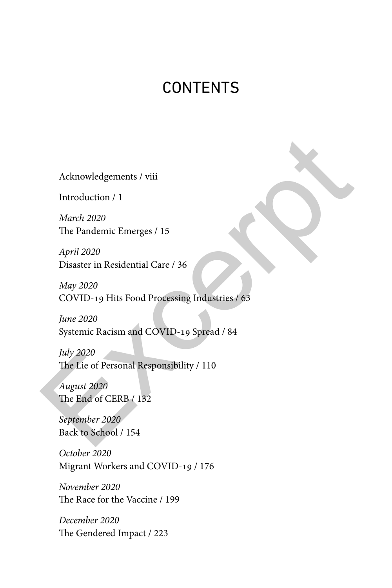# **CONTENTS**

Acknowledgements / viii

Introduction / 1

*March 2020* The Pandemic Emerges / 15

*April 2020* Disaster in Residential Care / 36

*May 2020* COVID-19 Hits Food Processing Industries / 63 Acknowledgements / viii<br>
Introduction / 1<br>
March 2020<br>
The Pandemic Emerges / 15<br>
April 2020<br>
Disaster in Residential Care / 36<br>
May 2020<br>
COVID-19 Hits Food Processing Industries / 63<br>
June 2020<br>
Systemic Racism and COVID

*June 2020* Systemic Racism and COVID-19 Spread / 84

*July 2020* The Lie of Personal Responsibility / 110

*August 2020*  The End of CERB / 132

*September 2020* Back to School / 154

*October 2020*  Migrant Workers and COVID-19 / 176

*November 2020* The Race for the Vaccine / 199

*December 2020*  The Gendered Impact / 223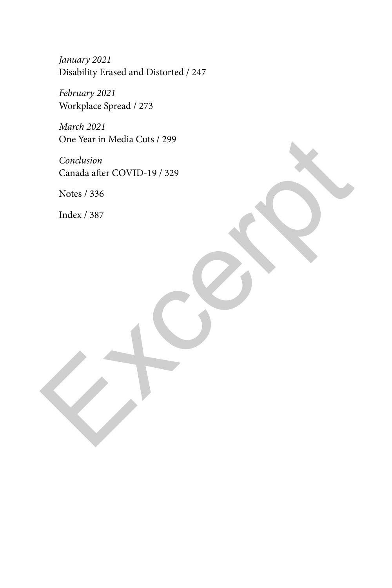*January 2021*  Disability Erased and Distorted / 247

*February 2021* Workplace Spread / 273

*March 2021* One Year in Media Cuts / 299

*Conclusion* Canada after COVID-19 / 329 One Year in Media Cuts / 299<br>Conclusion<br>Canada after COVID-19 / 329<br>Notes / 336<br>Index / 387<br>STRIKER AND THE STRIKER OF THE STRIKER OF THE STRIKER OF THE STRIKER OF THE STRIKER OF THE STRIKER OF THE STRIKER OF THE STRIKER O

Notes / 336

Index / 387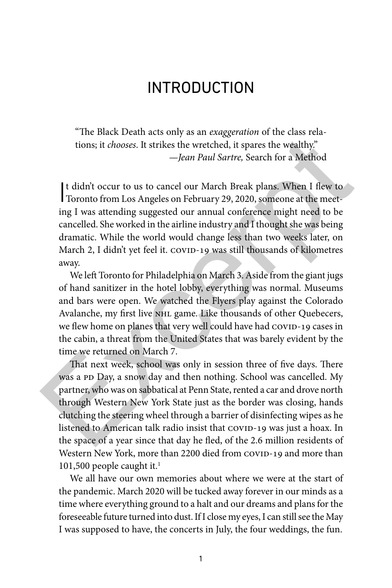# INTRODUCTION

"The Black Death acts only as an *exaggeration* of the class relations; it *chooses*. It strikes the wretched, it spares the wealthy." *—Jean Paul Sartre,* Search for a Method

t didn't occur to us to cancel our March Break plans. When I flew to Toronto from Los Angeles on February 29, 2020, someone at the meett didn't occur to us to cancel our March Break plans. When I flew to ing I was attending suggested our annual conference might need to be cancelled. She worked in the airline industry and I thought she was being dramatic. While the world would change less than two weeks later, on March 2, I didn't yet feel it. covid-19 was still thousands of kilometres away.

We left Toronto for Philadelphia on March 3. Aside from the giant jugs of hand sanitizer in the hotel lobby, everything was normal. Museums and bars were open. We watched the Flyers play against the Colorado Avalanche, my first live NHL game. Like thousands of other Quebecers, we flew home on planes that very well could have had COVID-19 cases in the cabin, a threat from the United States that was barely evident by the time we returned on March 7.

That next week, school was only in session three of five days. There was a PD Day, a snow day and then nothing. School was cancelled. My partner, who was on sabbatical at Penn State, rented a car and drove north through Western New York State just as the border was closing, hands clutching the steering wheel through a barrier of disinfecting wipes as he listened to American talk radio insist that COVID-19 was just a hoax. In the space of a year since that day he fled, of the 2.6 million residents of Western New York, more than 2200 died from COVID-19 and more than 101,500 people caught it. $<sup>1</sup>$ </sup> The means because the were the were the method, it spaces he wealthy,<br>tions; it *chooses*. It strikes the wetched, it spaces the wealthy,<br> $-$ lean Paul Sartre, Search for a Method<br>Toroto from Los Angeles on February 29, 20

We all have our own memories about where we were at the start of the pandemic. March 2020 will be tucked away forever in our minds as a time where everything ground to a halt and our dreams and plans for the foreseeable future turned into dust. If I close my eyes, I can still see the May I was supposed to have, the concerts in July, the four weddings, the fun.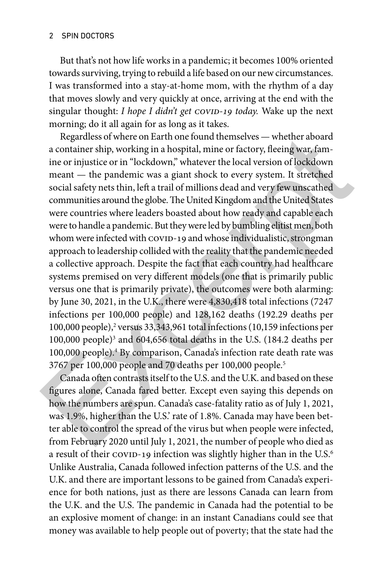### 2 SPIN DOCTORS

But that's not how life works in a pandemic; it becomes 100% oriented towards surviving, trying to rebuild a life based on our new circumstances. I was transformed into a stay-at-home mom, with the rhythm of a day that moves slowly and very quickly at once, arriving at the end with the singular thought: *I hope I didn't get COVID-19 today*. Wake up the next morning; do it all again for as long as it takes.

Regardless of where on Earth one found themselves — whether aboard a container ship, working in a hospital, mine or factory, fleeing war, famine or injustice or in "lockdown," whatever the local version of lockdown meant — the pandemic was a giant shock to every system. It stretched social safety nets thin, left a trail of millions dead and very few unscathed communities around the globe. The United Kingdom and the United States were countries where leaders boasted about how ready and capable each were to handle a pandemic. But they were led by bumbling elitist men, both whom were infected with COVID-19 and whose individualistic, strongman approach to leadership collided with the reality that the pandemic needed a collective approach. Despite the fact that each country had healthcare systems premised on very different models (one that is primarily public versus one that is primarily private), the outcomes were both alarming: by June 30, 2021, in the U.K., there were 4,830,418 total infections (7247 infections per 100,000 people) and 128,162 deaths (192.29 deaths per 100,000 people),<sup>2</sup> versus 33,343,961 total infections (10,159 infections per 100,000 people)<sup>3</sup> and 604,656 total deaths in the U.S. (184.2 deaths per 100,000 people).4 By comparison, Canada's infection rate death rate was 3767 per 100,000 people and 70 deaths per 100,000 people.5 Regardless of where on Earth one found themselves — whether aboard<br>a container ship, working in a hospital, mine or factory, fleeing war, fam-<br>or injustice or in "lockdown," whatever the local version of lockdown<br>meant —

Canada often contrasts itself to the U.S. and the U.K. and based on these figures alone, Canada fared better. Except even saying this depends on how the numbers are spun. Canada's case-fatality ratio as of July 1, 2021, was 1.9%, higher than the U.S.' rate of 1.8%. Canada may have been better able to control the spread of the virus but when people were infected, from February 2020 until July 1, 2021, the number of people who died as a result of their covin-19 infection was slightly higher than in the U.S.<sup>6</sup> Unlike Australia, Canada followed infection patterns of the U.S. and the U.K. and there are important lessons to be gained from Canada's experience for both nations, just as there are lessons Canada can learn from the U.K. and the U.S. The pandemic in Canada had the potential to be an explosive moment of change: in an instant Canadians could see that money was available to help people out of poverty; that the state had the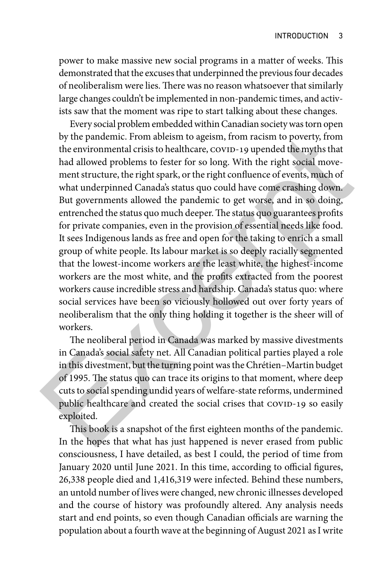power to make massive new social programs in a matter of weeks. This demonstrated that the excuses that underpinned the previous four decades of neoliberalism were lies. There was no reason whatsoever that similarly large changes couldn't be implemented in non-pandemic times, and activists saw that the moment was ripe to start talking about these changes.

Every social problem embedded within Canadian society was torn open by the pandemic. From ableism to ageism, from racism to poverty, from the environmental crisis to healthcare, COVID-19 upended the myths that had allowed problems to fester for so long. With the right social movement structure, the right spark, or the right confluence of events, much of what underpinned Canada's status quo could have come crashing down. But governments allowed the pandemic to get worse, and in so doing, entrenched the status quo much deeper. The status quo guarantees profits for private companies, even in the provision of essential needs like food. It sees Indigenous lands as free and open for the taking to enrich a small group of white people. Its labour market is so deeply racially segmented that the lowest-income workers are the least white, the highest-income workers are the most white, and the profits extracted from the poorest workers cause incredible stress and hardship. Canada's status quo: where social services have been so viciously hollowed out over forty years of neoliberalism that the only thing holding it together is the sheer will of workers. by the pandemic. From ableism to ageism, from racism to poverty, from<br>the environmental crisis to healthcare, covuto-19 upended the myths that<br>had allowed problems to fester for so long. With the right social move-<br>ment st

The neoliberal period in Canada was marked by massive divestments in Canada's social safety net. All Canadian political parties played a role in this divestment, but the turning point was the Chrétien–Martin budget of 1995. The status quo can trace its origins to that moment, where deep cuts to social spending undid years of welfare-state reforms, undermined public healthcare and created the social crises that COVID-19 so easily exploited.

This book is a snapshot of the first eighteen months of the pandemic. In the hopes that what has just happened is never erased from public consciousness, I have detailed, as best I could, the period of time from January 2020 until June 2021. In this time, according to official figures, 26,338 people died and 1,416,319 were infected. Behind these numbers, an untold number of lives were changed, new chronic illnesses developed and the course of history was profoundly altered. Any analysis needs start and end points, so even though Canadian officials are warning the population about a fourth wave at the beginning of August 2021 as I write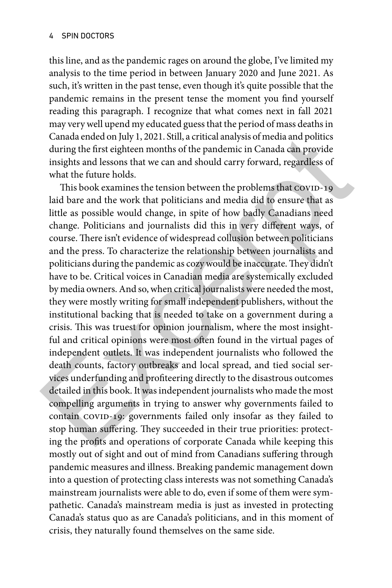this line, and as the pandemic rages on around the globe, I've limited my analysis to the time period in between January 2020 and June 2021. As such, it's written in the past tense, even though it's quite possible that the pandemic remains in the present tense the moment you find yourself reading this paragraph. I recognize that what comes next in fall 2021 may very well upend my educated guess that the period of mass deaths in Canada ended on July 1, 2021. Still, a critical analysis of media and politics during the first eighteen months of the pandemic in Canada can provide insights and lessons that we can and should carry forward, regardless of what the future holds.

This book examines the tension between the problems that COVID-19 laid bare and the work that politicians and media did to ensure that as little as possible would change, in spite of how badly Canadians need change. Politicians and journalists did this in very different ways, of course. There isn't evidence of widespread collusion between politicians and the press. To characterize the relationship between journalists and politicians during the pandemic as cozy would be inaccurate. They didn't have to be. Critical voices in Canadian media are systemically excluded by media owners. And so, when critical journalists were needed the most, they were mostly writing for small independent publishers, without the institutional backing that is needed to take on a government during a crisis. This was truest for opinion journalism, where the most insightful and critical opinions were most often found in the virtual pages of independent outlets. It was independent journalists who followed the death counts, factory outbreaks and local spread, and tied social services underfunding and profiteering directly to the disastrous outcomes detailed in this book. It was independent journalists who made the most compelling arguments in trying to answer why governments failed to contain COVID-19: governments failed only insofar as they failed to stop human suffering. They succeeded in their true priorities: protecting the profits and operations of corporate Canada while keeping this mostly out of sight and out of mind from Canadians suffering through pandemic measures and illness. Breaking pandemic management down into a question of protecting class interests was not something Canada's mainstream journalists were able to do, even if some of them were sympathetic. Canada's mainstream media is just as invested in protecting Canada's status quo as are Canada's politicians, and in this moment of crisis, they naturally found themselves on the same side. Canada ended on July 1, 2021. Still, a critical analysis of media and politics<br>during the first eighteen months of the pandemic in Canada can provide<br>during the first eighteen months of the pandemic in Canada can provide<br>i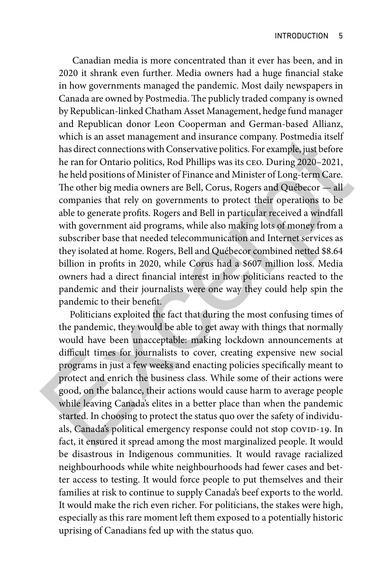Canadian media is more concentrated than it ever has been, and in 2020 it shrank even further. Media owners had a huge financial stake in how governments managed the pandemic. Most daily newspapers in Canada are owned by Postmedia. The publicly traded company is owned by Republican-linked Chatham Asset Management, hedge fund manager and Republican donor Leon Cooperman and German-based Allianz, which is an asset management and insurance company. Postmedia itself has direct connections with Conservative politics. For example, just before he ran for Ontario politics, Rod Phillips was its ceo. During 2020–2021, he held positions of Minister of Finance and Minister of Long-term Care. The other big media owners are Bell, Corus, Rogers and Québecor — all companies that rely on governments to protect their operations to be able to generate profits. Rogers and Bell in particular received a windfall with government aid programs, while also making lots of money from a subscriber base that needed telecommunication and Internet services as they isolated at home. Rogers, Bell and Québecor combined netted \$8.64 billion in profits in 2020, while Corus had a \$607 million loss. Media owners had a direct financial interest in how politicians reacted to the pandemic and their journalists were one way they could help spin the pandemic to their benefit. which is an asset management and insurance company. Postmedia itself<br>has direct connections with Conservative politics. For example, just be<br>fore he ran for Ontario politics, Rod Phillips was its c.e.o. During 2020-2021,<br>

Politicians exploited the fact that during the most confusing times of the pandemic, they would be able to get away with things that normally would have been unacceptable: making lockdown announcements at difficult times for journalists to cover, creating expensive new social programs in just a few weeks and enacting policies specifically meant to protect and enrich the business class. While some of their actions were good, on the balance, their actions would cause harm to average people while leaving Canada's elites in a better place than when the pandemic started. In choosing to protect the status quo over the safety of individuals, Canada's political emergency response could not stop COVID-19. In fact, it ensured it spread among the most marginalized people. It would be disastrous in Indigenous communities. It would ravage racialized neighbourhoods while white neighbourhoods had fewer cases and better access to testing. It would force people to put themselves and their families at risk to continue to supply Canada's beef exports to the world. It would make the rich even richer. For politicians, the stakes were high, especially as this rare moment left them exposed to a potentially historic uprising of Canadians fed up with the status quo.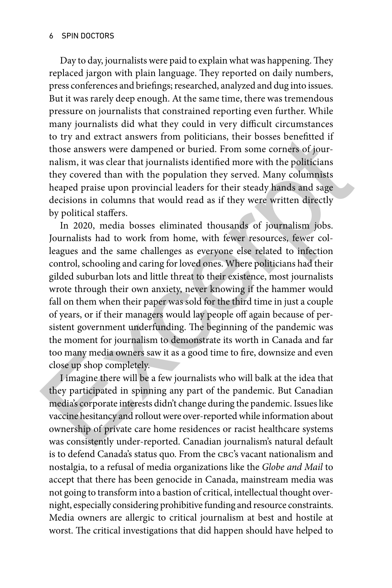### 6 SPIN DOCTORS

Day to day, journalists were paid to explain what was happening. They replaced jargon with plain language. They reported on daily numbers, press conferences and briefings; researched, analyzed and dug into issues. But it was rarely deep enough. At the same time, there was tremendous pressure on journalists that constrained reporting even further. While many journalists did what they could in very difficult circumstances to try and extract answers from politicians, their bosses benefitted if those answers were dampened or buried. From some corners of journalism, it was clear that journalists identified more with the politicians they covered than with the population they served. Many columnists heaped praise upon provincial leaders for their steady hands and sage decisions in columns that would read as if they were written directly by political staffers.

In 2020, media bosses eliminated thousands of journalism jobs. Journalists had to work from home, with fewer resources, fewer colleagues and the same challenges as everyone else related to infection control, schooling and caring for loved ones. Where politicians had their gilded suburban lots and little threat to their existence, most journalists wrote through their own anxiety, never knowing if the hammer would fall on them when their paper was sold for the third time in just a couple of years, or if their managers would lay people off again because of persistent government underfunding. The beginning of the pandemic was the moment for journalism to demonstrate its worth in Canada and far too many media owners saw it as a good time to fire, downsize and even close up shop completely. to try and extract answers from politicians, their bosses benefitted if<br>those answers were dampend or buried. From some corners of jour-<br>anism, it was clear that journalists identified more with the politicians<br>they cover

I imagine there will be a few journalists who will balk at the idea that they participated in spinning any part of the pandemic. But Canadian media's corporate interests didn't change during the pandemic. Issues like vaccine hesitancy and rollout were over-reported while information about ownership of private care home residences or racist healthcare systems was consistently under-reported. Canadian journalism's natural default is to defend Canada's status quo. From the CBC's vacant nationalism and nostalgia, to a refusal of media organizations like the *Globe and Mail* to accept that there has been genocide in Canada, mainstream media was not going to transform into a bastion of critical, intellectual thought overnight, especially considering prohibitive funding and resource constraints. Media owners are allergic to critical journalism at best and hostile at worst. The critical investigations that did happen should have helped to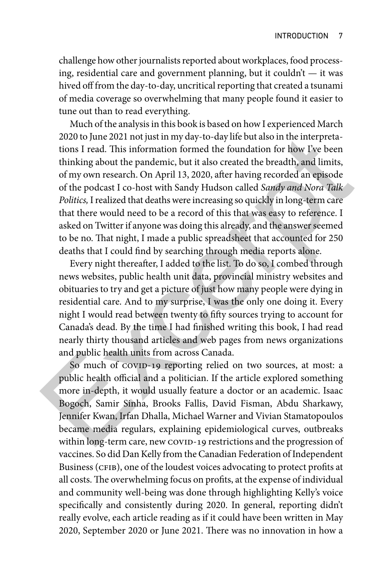challenge how other journalists reported about workplaces, food processing, residential care and government planning, but it couldn't — it was hived off from the day-to-day, uncritical reporting that created a tsunami of media coverage so overwhelming that many people found it easier to tune out than to read everything.

Much of the analysis in this book is based on how I experienced March 2020 to June 2021 not just in my day-to-day life but also in the interpretations I read. This information formed the foundation for how I've been thinking about the pandemic, but it also created the breadth, and limits, of my own research. On April 13, 2020, after having recorded an episode of the podcast I co-host with Sandy Hudson called *Sandy and Nora Talk Politics,* I realized that deaths were increasing so quickly in long-term care that there would need to be a record of this that was easy to reference. I asked on Twitter if anyone was doing this already, and the answer seemed to be no. That night, I made a public spreadsheet that accounted for 250 deaths that I could find by searching through media reports alone. 2020 to June 2021 not just in my day-to-day life but also in the interpreta-<br>tions I read. This information formed the foundation for how I've been<br>thinking about the pandemic, but it also created the breadth, and limits,

Every night thereafter, I added to the list. To do so, I combed through news websites, public health unit data, provincial ministry websites and obituaries to try and get a picture of just how many people were dying in residential care. And to my surprise, I was the only one doing it. Every night I would read between twenty to fifty sources trying to account for Canada's dead. By the time I had finished writing this book, I had read nearly thirty thousand articles and web pages from news organizations and public health units from across Canada.

So much of covid-19 reporting relied on two sources, at most: a public health official and a politician. If the article explored something more in-depth, it would usually feature a doctor or an academic. Isaac Bogoch, Samir Sinha, Brooks Fallis, David Fisman, Abdu Sharkawy, Jennifer Kwan, Irfan Dhalla, Michael Warner and Vivian Stamatopoulos became media regulars, explaining epidemiological curves, outbreaks within long-term care, new COVID-19 restrictions and the progression of vaccines. So did Dan Kelly from the Canadian Federation of Independent Business (CFIB), one of the loudest voices advocating to protect profits at all costs. The overwhelming focus on profits, at the expense of individual and community well-being was done through highlighting Kelly's voice specifically and consistently during 2020. In general, reporting didn't really evolve, each article reading as if it could have been written in May 2020, September 2020 or June 2021. There was no innovation in how a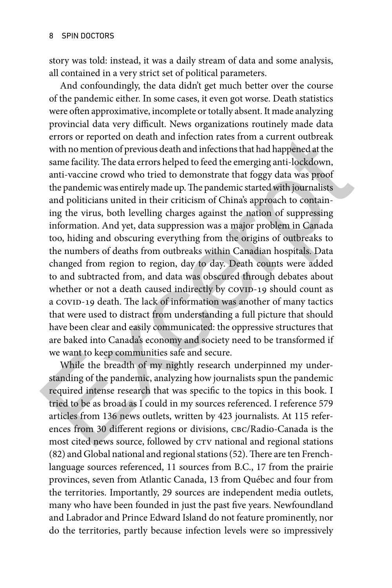story was told: instead, it was a daily stream of data and some analysis, all contained in a very strict set of political parameters.

And confoundingly, the data didn't get much better over the course of the pandemic either. In some cases, it even got worse. Death statistics were often approximative, incomplete or totally absent. It made analyzing provincial data very difficult. News organizations routinely made data errors or reported on death and infection rates from a current outbreak with no mention of previous death and infections that had happened at the same facility. The data errors helped to feed the emerging anti-lockdown, anti-vaccine crowd who tried to demonstrate that foggy data was proof the pandemic was entirely made up. The pandemic started with journalists and politicians united in their criticism of China's approach to containing the virus, both levelling charges against the nation of suppressing information. And yet, data suppression was a major problem in Canada too, hiding and obscuring everything from the origins of outbreaks to the numbers of deaths from outbreaks within Canadian hospitals. Data changed from region to region, day to day. Death counts were added to and subtracted from, and data was obscured through debates about whether or not a death caused indirectly by COVID-19 should count as a COVID-19 death. The lack of information was another of many tactics that were used to distract from understanding a full picture that should have been clear and easily communicated: the oppressive structures that are baked into Canada's economy and society need to be transformed if we want to keep communities safe and secure. errors or reported on death and infection rates from a current outbreak<br>with no mention of previous death and infections that had happened at the<br>same facility. The data errors helped to feed the emerging anti-lockdown,<br>an

While the breadth of my nightly research underpinned my understanding of the pandemic, analyzing how journalists spun the pandemic required intense research that was specific to the topics in this book. I tried to be as broad as I could in my sources referenced. I reference 579 articles from 136 news outlets, written by 423 journalists. At 115 references from 30 different regions or divisions, CBC/Radio-Canada is the most cited news source, followed by CTV national and regional stations (82) and Global national and regional stations (52). There are ten Frenchlanguage sources referenced, 11 sources from B.C., 17 from the prairie provinces, seven from Atlantic Canada, 13 from Québec and four from the territories. Importantly, 29 sources are independent media outlets, many who have been founded in just the past five years. Newfoundland and Labrador and Prince Edward Island do not feature prominently, nor do the territories, partly because infection levels were so impressively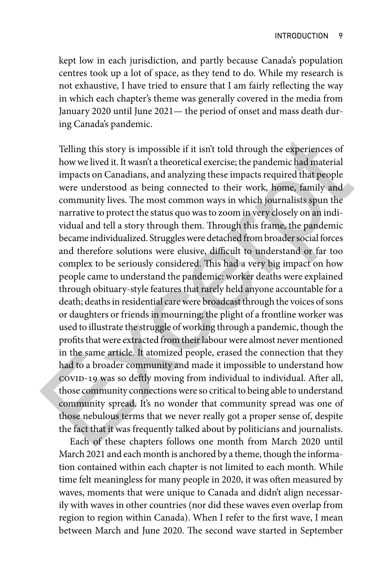kept low in each jurisdiction, and partly because Canada's population centres took up a lot of space, as they tend to do. While my research is not exhaustive, I have tried to ensure that I am fairly reflecting the way in which each chapter's theme was generally covered in the media from January 2020 until June 2021— the period of onset and mass death during Canada's pandemic.

Telling this story is impossible if it isn't told through the experiences of how we lived it. It wasn't a theoretical exercise; the pandemic had material impacts on Canadians, and analyzing these impacts required that people were understood as being connected to their work, home, family and community lives. The most common ways in which journalists spun the narrative to protect the status quo was to zoom in very closely on an individual and tell a story through them. Through this frame, the pandemic became individualized. Struggles were detached from broader social forces and therefore solutions were elusive, difficult to understand or far too complex to be seriously considered. This had a very big impact on how people came to understand the pandemic: worker deaths were explained through obituary-style features that rarely held anyone accountable for a death; deaths in residential care were broadcast through the voices of sons or daughters or friends in mourning; the plight of a frontline worker was used to illustrate the struggle of working through a pandemic, though the profits that were extracted from their labour were almost never mentioned in the same article. It atomized people, erased the connection that they had to a broader community and made it impossible to understand how covid-19 was so deftly moving from individual to individual. After all, those community connections were so critical to being able to understand community spread. It's no wonder that community spread was one of those nebulous terms that we never really got a proper sense of, despite the fact that it was frequently talked about by politicians and journalists. Telling this story is impossible if it isn't told through the experiences of<br>how we lived it. It wasn't a theoretical exercise; the pandemic had material<br>impacts on Canadians, and analyzing these impacts required that peo

Each of these chapters follows one month from March 2020 until March 2021 and each month is anchored by a theme, though the information contained within each chapter is not limited to each month. While time felt meaningless for many people in 2020, it was often measured by waves, moments that were unique to Canada and didn't align necessarily with waves in other countries (nor did these waves even overlap from region to region within Canada). When I refer to the first wave, I mean between March and June 2020. The second wave started in September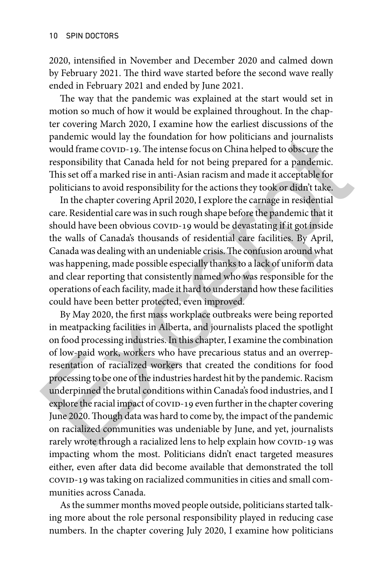2020, intensified in November and December 2020 and calmed down by February 2021. The third wave started before the second wave really ended in February 2021 and ended by June 2021.

The way that the pandemic was explained at the start would set in motion so much of how it would be explained throughout. In the chapter covering March 2020, I examine how the earliest discussions of the pandemic would lay the foundation for how politicians and journalists would frame COVID-19. The intense focus on China helped to obscure the responsibility that Canada held for not being prepared for a pandemic. This set off a marked rise in anti-Asian racism and made it acceptable for politicians to avoid responsibility for the actions they took or didn't take.

In the chapter covering April 2020, I explore the carnage in residential care. Residential care was in such rough shape before the pandemic that it should have been obvious COVID-19 would be devastating if it got inside the walls of Canada's thousands of residential care facilities. By April, Canada was dealing with an undeniable crisis. The confusion around what was happening, made possible especially thanks to a lack of uniform data and clear reporting that consistently named who was responsible for the operations of each facility, made it hard to understand how these facilities could have been better protected, even improved.

By May 2020, the first mass workplace outbreaks were being reported in meatpacking facilities in Alberta, and journalists placed the spotlight on food processing industries. In this chapter, I examine the combination of low-paid work, workers who have precarious status and an overrepresentation of racialized workers that created the conditions for food processing to be one of the industries hardest hit by the pandemic. Racism underpinned the brutal conditions within Canada's food industries, and I explore the racial impact of COVID-19 even further in the chapter covering June 2020. Though data was hard to come by, the impact of the pandemic on racialized communities was undeniable by June, and yet, journalists rarely wrote through a racialized lens to help explain how COVID-19 was impacting whom the most. Politicians didn't enact targeted measures either, even after data did become available that demonstrated the toll covid-19 was taking on racialized communities in cities and small communities across Canada. pandemic would lay the foundation for how politicians and journalists<br>would frame covup-19. The intense focus on China helped to obscure the<br>responsibility that Canada held for not being prepared for a pandemic.<br>This set o

As the summer months moved people outside, politicians started talking more about the role personal responsibility played in reducing case numbers. In the chapter covering July 2020, I examine how politicians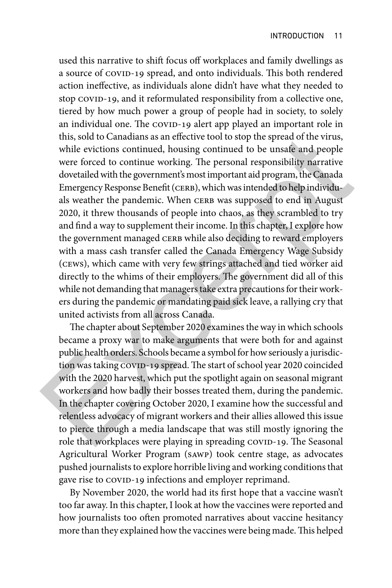used this narrative to shift focus off workplaces and family dwellings as a source of COVID-19 spread, and onto individuals. This both rendered action ineffective, as individuals alone didn't have what they needed to stop COVID-19, and it reformulated responsibility from a collective one, tiered by how much power a group of people had in society, to solely an individual one. The covID-19 alert app played an important role in this, sold to Canadians as an effective tool to stop the spread of the virus, while evictions continued, housing continued to be unsafe and people were forced to continue working. The personal responsibility narrative dovetailed with the government's most important aid program, the Canada Emergency Response Benefit (CERB), which was intended to help individuals weather the pandemic. When CERB was supposed to end in August 2020, it threw thousands of people into chaos, as they scrambled to try and find a way to supplement their income. In this chapter, I explore how the government managed CERB while also deciding to reward employers with a mass cash transfer called the Canada Emergency Wage Subsidy (cews), which came with very few strings attached and tied worker aid directly to the whims of their employers. The government did all of this while not demanding that managers take extra precautions for their workers during the pandemic or mandating paid sick leave, a rallying cry that united activists from all across Canada. this, sold to Canadians as an effective tool to stop the spread of the virus, while evictoins continued, housing continue of be unasfe and people were forced to continue working. The personal responsibility narrative dovet

The chapter about September 2020 examines the way in which schools became a proxy war to make arguments that were both for and against public health orders. Schools became a symbol for how seriously a jurisdiction was taking COVID-19 spread. The start of school year 2020 coincided with the 2020 harvest, which put the spotlight again on seasonal migrant workers and how badly their bosses treated them, during the pandemic. In the chapter covering October 2020, I examine how the successful and relentless advocacy of migrant workers and their allies allowed this issue to pierce through a media landscape that was still mostly ignoring the role that workplaces were playing in spreading COVID-19. The Seasonal Agricultural Worker Program (sawp) took centre stage, as advocates pushed journalists to explore horrible living and working conditions that gave rise to COVID-19 infections and employer reprimand.

By November 2020, the world had its first hope that a vaccine wasn't too far away. In this chapter, I look at how the vaccines were reported and how journalists too often promoted narratives about vaccine hesitancy more than they explained how the vaccines were being made. This helped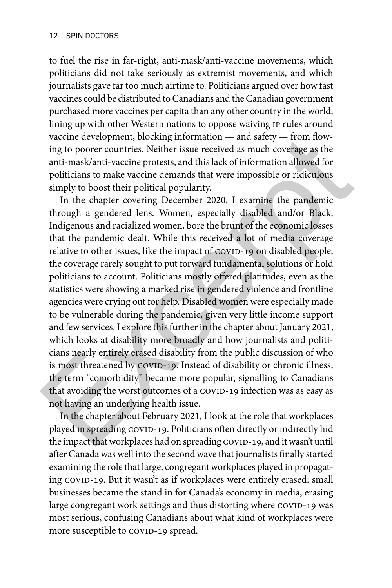to fuel the rise in far-right, anti-mask/anti-vaccine movements, which politicians did not take seriously as extremist movements, and which journalists gave far too much airtime to. Politicians argued over how fast vaccines could be distributed to Canadians and the Canadian government purchased more vaccines per capita than any other country in the world, lining up with other Western nations to oppose waiving ip rules around vaccine development, blocking information — and safety — from flowing to poorer countries. Neither issue received as much coverage as the anti-mask/anti-vaccine protests, and this lack of information allowed for politicians to make vaccine demands that were impossible or ridiculous simply to boost their political popularity.

In the chapter covering December 2020, I examine the pandemic through a gendered lens. Women, especially disabled and/or Black, Indigenous and racialized women, bore the brunt of the economic losses that the pandemic dealt. While this received a lot of media coverage relative to other issues, like the impact of COVID-19 on disabled people, the coverage rarely sought to put forward fundamental solutions or hold politicians to account. Politicians mostly offered platitudes, even as the statistics were showing a marked rise in gendered violence and frontline agencies were crying out for help. Disabled women were especially made to be vulnerable during the pandemic, given very little income support and few services. I explore this further in the chapter about January 2021, which looks at disability more broadly and how journalists and politicians nearly entirely erased disability from the public discussion of who is most threatened by COVID-19. Instead of disability or chronic illness, the term "comorbidity" became more popular, signalling to Canadians that avoiding the worst outcomes of a COVID-19 infection was as easy as not having an underlying health issue. vaccine development, blocking information — and safety — from flow-<br>ing to poorer countries. Neither issue received as much coverage as the<br>anti-mask/anti-vaccine protests, and this lack of information allowed for<br>politic

In the chapter about February 2021, I look at the role that workplaces played in spreading COVID-19. Politicians often directly or indirectly hid the impact that workplaces had on spreading COVID-19, and it wasn't until after Canada was well into the second wave that journalists finally started examining the role that large, congregant workplaces played in propagating COVID-19. But it wasn't as if workplaces were entirely erased: small businesses became the stand in for Canada's economy in media, erasing large congregant work settings and thus distorting where COVID-19 was most serious, confusing Canadians about what kind of workplaces were more susceptible to COVID-19 spread.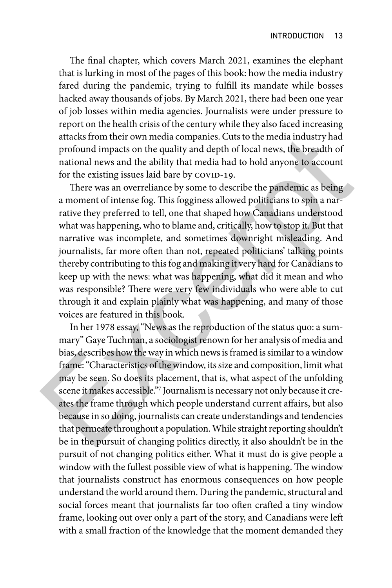The final chapter, which covers March 2021, examines the elephant that is lurking in most of the pages of this book: how the media industry fared during the pandemic, trying to fulfill its mandate while bosses hacked away thousands of jobs. By March 2021, there had been one year of job losses within media agencies. Journalists were under pressure to report on the health crisis of the century while they also faced increasing attacks from their own media companies. Cuts to the media industry had profound impacts on the quality and depth of local news, the breadth of national news and the ability that media had to hold anyone to account for the existing issues laid bare by COVID-19.

There was an overreliance by some to describe the pandemic as being a moment of intense fog. This fogginess allowed politicians to spin a narrative they preferred to tell, one that shaped how Canadians understood what was happening, who to blame and, critically, how to stop it. But that narrative was incomplete, and sometimes downright misleading. And journalists, far more often than not, repeated politicians' talking points thereby contributing to this fog and making it very hard for Canadians to keep up with the news: what was happening, what did it mean and who was responsible? There were very few individuals who were able to cut through it and explain plainly what was happening, and many of those voices are featured in this book. attacks from their own media companies. Cuts to the media industry had profound impacts on the quality and depth of local news, the breadth of national news and the ability that media had to hold anyone to account for the

In her 1978 essay, "News as the reproduction of the status quo: a summary" Gaye Tuchman, a sociologist renown for her analysis of media and bias, describes how the way in which news is framed is similar to a window frame: "Characteristics of the window, its size and composition, limit what may be seen. So does its placement, that is, what aspect of the unfolding scene it makes accessible."7 Journalism is necessary not only because it creates the frame through which people understand current affairs, but also because in so doing, journalists can create understandings and tendencies that permeate throughout a population. While straight reporting shouldn't be in the pursuit of changing politics directly, it also shouldn't be in the pursuit of not changing politics either. What it must do is give people a window with the fullest possible view of what is happening. The window that journalists construct has enormous consequences on how people understand the world around them. During the pandemic, structural and social forces meant that journalists far too often crafted a tiny window frame, looking out over only a part of the story, and Canadians were left with a small fraction of the knowledge that the moment demanded they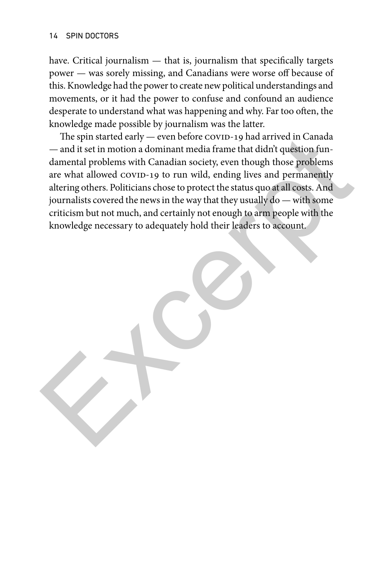have. Critical journalism — that is, journalism that specifically targets power — was sorely missing, and Canadians were worse off because of this. Knowledge had the power to create new political understandings and movements, or it had the power to confuse and confound an audience desperate to understand what was happening and why. Far too often, the knowledge made possible by journalism was the latter.

The spin started early  $-$  even before  $cov$ ID-19 had arrived in Canada — and it set in motion a dominant media frame that didn't question fundamental problems with Canadian society, even though those problems are what allowed COVID-19 to run wild, ending lives and permanently altering others. Politicians chose to protect the status quo at all costs. And journalists covered the news in the way that they usually do — with some criticism but not much, and certainly not enough to arm people with the knowledge necessary to adequately hold their leaders to account. The spin started early — even before COVID-19 had arrived in Canada<br>
— and it set in motion a dominant media frame that didn't question fun-<br>
amental problems with Canadian society, even though those problems<br>
are what all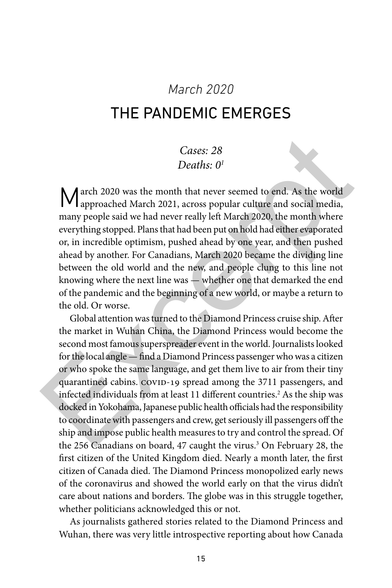# *March 2020* THE PANDEMIC EMERGES

## *Cases: 28 Deaths: 01*

arch 2020 was the month that never seemed to end. As the world approached March 2021, across popular culture and social media, many people said we had never really left March 2020, the month where everything stopped. Plans that had been put on hold had either evaporated or, in incredible optimism, pushed ahead by one year, and then pushed ahead by another. For Canadians, March 2020 became the dividing line between the old world and the new, and people clung to this line not knowing where the next line was — whether one that demarked the end of the pandemic and the beginning of a new world, or maybe a return to the old. Or worse.

Global attention was turned to the Diamond Princess cruise ship. After the market in Wuhan China, the Diamond Princess would become the second most famous superspreader event in the world. Journalists looked for the local angle — find a Diamond Princess passenger who was a citizen or who spoke the same language, and get them live to air from their tiny quarantined cabins. covin-19 spread among the 3711 passengers, and infected individuals from at least 11 different countries.<sup>2</sup> As the ship was docked in Yokohama, Japanese public health officials had the responsibility to coordinate with passengers and crew, get seriously ill passengers off the ship and impose public health measures to try and control the spread. Of the 256 Canadians on board, 47 caught the virus.<sup>3</sup> On February 28, the first citizen of the United Kingdom died. Nearly a month later, the first citizen of Canada died. The Diamond Princess monopolized early news of the coronavirus and showed the world early on that the virus didn't care about nations and borders. The globe was in this struggle together, whether politicians acknowledged this or not. Cases: 28<br>
Deaths:  $0^1$ <br>
Deaths:  $0^1$ <br>
Deaths:  $0^1$ <br>
Deaths:  $0^1$ <br>
Deaths:  $0^1$ <br>
Deaths:  $0^1$ <br>
Deaths:  $0^2$ <br>
All approached March 2021, across popular culture and social media,<br>
many people said we had never really

As journalists gathered stories related to the Diamond Princess and Wuhan, there was very little introspective reporting about how Canada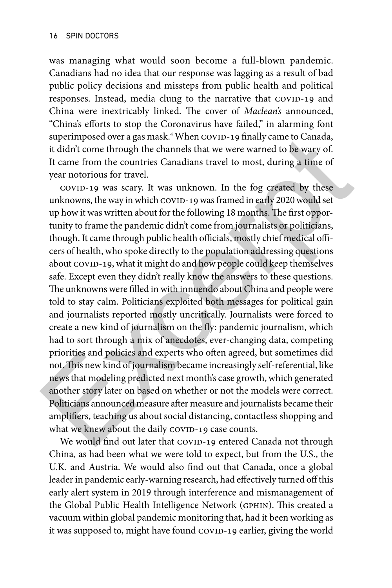was managing what would soon become a full-blown pandemic. Canadians had no idea that our response was lagging as a result of bad public policy decisions and missteps from public health and political responses. Instead, media clung to the narrative that COVID-19 and China were inextricably linked. The cover of *Maclean's* announced, "China's efforts to stop the Coronavirus have failed," in alarming font superimposed over a gas mask.<sup>4</sup> When COVID-19 finally came to Canada, it didn't come through the channels that we were warned to be wary of. It came from the countries Canadians travel to most, during a time of year notorious for travel.

covid-19 was scary. It was unknown. In the fog created by these unknowns, the way in which COVID-19 was framed in early 2020 would set up how it was written about for the following 18 months. The first opportunity to frame the pandemic didn't come from journalists or politicians, though. It came through public health officials, mostly chief medical officers of health, who spoke directly to the population addressing questions about COVID-19, what it might do and how people could keep themselves safe. Except even they didn't really know the answers to these questions. The unknowns were filled in with innuendo about China and people were told to stay calm. Politicians exploited both messages for political gain and journalists reported mostly uncritically. Journalists were forced to create a new kind of journalism on the fly: pandemic journalism, which had to sort through a mix of anecdotes, ever-changing data, competing priorities and policies and experts who often agreed, but sometimes did not. This new kind of journalism became increasingly self-referential, like news that modeling predicted next month's case growth, which generated another story later on based on whether or not the models were correct. Politicians announced measure after measure and journalists became their amplifiers, teaching us about social distancing, contactless shopping and what we knew about the daily COVID-19 case counts. superimposed over a gas mask.<sup>4</sup> When covID-19 finally came to Canada, it didn't come through the channels that we were warned to be wary of. It cane from the countries Canadians travel to most, during a time of year notor

We would find out later that COVID-19 entered Canada not through China, as had been what we were told to expect, but from the U.S., the U.K. and Austria. We would also find out that Canada, once a global leader in pandemic early-warning research, had effectively turned off this early alert system in 2019 through interference and mismanagement of the Global Public Health Intelligence Network (GPHIN). This created a vacuum within global pandemic monitoring that, had it been working as it was supposed to, might have found COVID-19 earlier, giving the world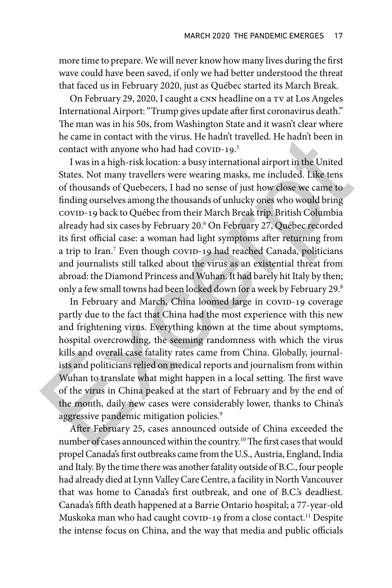more time to prepare. We will never know how many lives during the first wave could have been saved, if only we had better understood the threat that faced us in February 2020, just as Québec started its March Break.

On February 29, 2020, I caught a CNN headline on a TV at Los Angeles International Airport: "Trump gives update after first coronavirus death." The man was in his 50s, from Washington State and it wasn't clear where he came in contact with the virus. He hadn't travelled. He hadn't been in contact with anyone who had had  $covID-19$ .<sup>5</sup>

I was in a high-risk location: a busy international airport in the United States. Not many travellers were wearing masks, me included. Like tens of thousands of Quebecers, I had no sense of just how close we came to finding ourselves among the thousands of unlucky ones who would bring covid-19 back to Québec from their March Break trip. British Columbia already had six cases by February 20.6 On February 27, Québec recorded its first official case: a woman had light symptoms after returning from a trip to Iran.<sup>7</sup> Even though covin-19 had reached Canada, politicians and journalists still talked about the virus as an existential threat from abroad: the Diamond Princess and Wuhan. It had barely hit Italy by then; only a few small towns had been locked down for a week by February 29.8 he came in contact with the virus. He hadn't travelled. He hadn't been in<br>contact with anyone who had had covtro-19.<sup>5</sup><br>I was in a high-risk location: a busy international airport in the United<br>States. Not many travellers

In February and March, China loomed large in COVID-19 coverage partly due to the fact that China had the most experience with this new and frightening virus. Everything known at the time about symptoms, hospital overcrowding, the seeming randomness with which the virus kills and overall case fatality rates came from China. Globally, journalists and politicians relied on medical reports and journalism from within Wuhan to translate what might happen in a local setting. The first wave of the virus in China peaked at the start of February and by the end of the month, daily new cases were considerably lower, thanks to China's aggressive pandemic mitigation policies.<sup>9</sup>

After February 25, cases announced outside of China exceeded the number of cases announced within the country.<sup>10</sup> The first cases that would propel Canada's first outbreaks came from the U.S., Austria, England, India and Italy. By the time there was another fatality outside of B.C., four people had already died at Lynn Valley Care Centre, a facility in North Vancouver that was home to Canada's first outbreak, and one of B.C.'s deadliest. Canada's fifth death happened at a Barrie Ontario hospital; a 77-year-old Muskoka man who had caught covin-19 from a close contact.<sup>11</sup> Despite the intense focus on China, and the way that media and public officials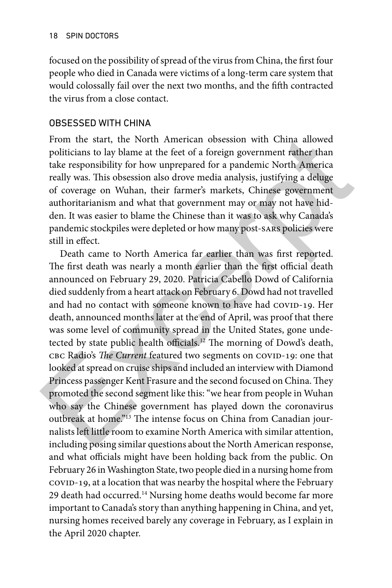focused on the possibility of spread of the virus from China, the first four people who died in Canada were victims of a long-term care system that would colossally fail over the next two months, and the fifth contracted the virus from a close contact.

### OBSESSED WITH CHINA

From the start, the North American obsession with China allowed politicians to lay blame at the feet of a foreign government rather than take responsibility for how unprepared for a pandemic North America really was. This obsession also drove media analysis, justifying a deluge of coverage on Wuhan, their farmer's markets, Chinese government authoritarianism and what that government may or may not have hidden. It was easier to blame the Chinese than it was to ask why Canada's pandemic stockpiles were depleted or how many post-sars policies were still in effect.

Death came to North America far earlier than was first reported. The first death was nearly a month earlier than the first official death announced on February 29, 2020. Patricia Cabello Dowd of California died suddenly from a heart attack on February 6. Dowd had not travelled and had no contact with someone known to have had COVID-19. Her death, announced months later at the end of April, was proof that there was some level of community spread in the United States, gone undetected by state public health officials.<sup>12</sup> The morning of Dowd's death, CBC Radio's *The Current* featured two segments on COVID-19: one that looked at spread on cruise ships and included an interview with Diamond Princess passenger Kent Frasure and the second focused on China. They promoted the second segment like this: "we hear from people in Wuhan who say the Chinese government has played down the coronavirus outbreak at home."<sup>13</sup> The intense focus on China from Canadian journalists left little room to examine North America with similar attention, including posing similar questions about the North American response, and what officials might have been holding back from the public. On February 26 in Washington State, two people died in a nursing home from covid-19, at a location that was nearby the hospital where the February 29 death had occurred.14 Nursing home deaths would become far more important to Canada's story than anything happening in China, and yet, nursing homes received barely any coverage in February, as I explain in the April 2020 chapter. From the start, the North American obsession with China allowed<br>politicians to lay blame at the feet of a foreign government rather than<br>take responsibility for how unrepared for a pandemic North America<br>delity was. This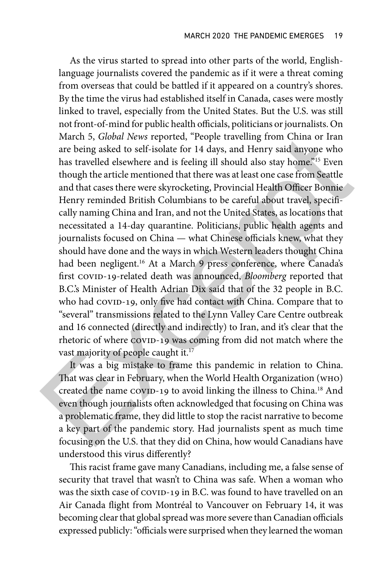As the virus started to spread into other parts of the world, Englishlanguage journalists covered the pandemic as if it were a threat coming from overseas that could be battled if it appeared on a country's shores. By the time the virus had established itself in Canada, cases were mostly linked to travel, especially from the United States. But the U.S. was still not front-of-mind for public health officials, politicians or journalists. On March 5, *Global News* reported, "People travelling from China or Iran are being asked to self-isolate for 14 days, and Henry said anyone who has travelled elsewhere and is feeling ill should also stay home."<sup>15</sup> Even though the article mentioned that there was at least one case from Seattle and that cases there were skyrocketing, Provincial Health Officer Bonnie Henry reminded British Columbians to be careful about travel, specifically naming China and Iran, and not the United States, as locations that necessitated a 14-day quarantine. Politicians, public health agents and journalists focused on China — what Chinese officials knew, what they should have done and the ways in which Western leaders thought China had been negligent.<sup>16</sup> At a March 9 press conference, where Canada's first covin-19-related death was announced, *Bloomberg* reported that B.C.'s Minister of Health Adrian Dix said that of the 32 people in B.C. who had COVID-19, only five had contact with China. Compare that to "several" transmissions related to the Lynn Valley Care Centre outbreak and 16 connected (directly and indirectly) to Iran, and it's clear that the rhetoric of where covin-19 was coming from did not match where the vast majority of people caught it.<sup>17</sup> March 5, *Global News* reported, "People travelling from China or Iran<br>are being asked to self-isolate for 14 days, and Henry said anyone who<br>has travelled elsewhere and is feeling ill should also stay home."<sup>15</sup> Even<br>tho

It was a big mistake to frame this pandemic in relation to China. That was clear in February, when the World Health Organization (who) created the name covin-19 to avoid linking the illness to China.<sup>18</sup> And even though journalists often acknowledged that focusing on China was a problematic frame, they did little to stop the racist narrative to become a key part of the pandemic story. Had journalists spent as much time focusing on the U.S. that they did on China, how would Canadians have understood this virus differently?

This racist frame gave many Canadians, including me, a false sense of security that travel that wasn't to China was safe. When a woman who was the sixth case of COVID-19 in B.C. was found to have travelled on an Air Canada flight from Montréal to Vancouver on February 14, it was becoming clear that global spread was more severe than Canadian officials expressed publicly: "officials were surprised when they learned the woman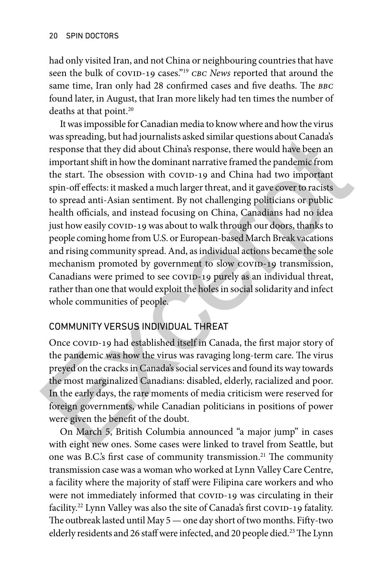had only visited Iran, and not China or neighbouring countries that have seen the bulk of COVID-19 cases."<sup>19</sup> CBC News reported that around the same time, Iran only had 28 confirmed cases and five deaths. The *bbc* found later, in August, that Iran more likely had ten times the number of deaths at that point.<sup>20</sup>

It was impossible for Canadian media to know where and how the virus was spreading, but had journalists asked similar questions about Canada's response that they did about China's response, there would have been an important shift in how the dominant narrative framed the pandemic from the start. The obsession with covid-19 and China had two important spin-off effects: it masked a much larger threat, and it gave cover to racists to spread anti-Asian sentiment. By not challenging politicians or public health officials, and instead focusing on China, Canadians had no idea just how easily COVID-19 was about to walk through our doors, thanks to people coming home from U.S. or European-based March Break vacations and rising community spread. And, as individual actions became the sole mechanism promoted by government to slow covin-19 transmission, Canadians were primed to see COVID-19 purely as an individual threat, rather than one that would exploit the holes in social solidarity and infect whole communities of people. was spreading, but had journalists asked similar questions about Canada's<br>response that they did about China's response, there would have been an<br>important shift in how the dominant narrative framed the pandemic from<br>the s

### COMMUNITY VERSUS INDIVIDUAL THREAT

Once covin-19 had established itself in Canada, the first major story of the pandemic was how the virus was ravaging long-term care. The virus preyed on the cracks in Canada's social services and found its way towards the most marginalized Canadians: disabled, elderly, racialized and poor. In the early days, the rare moments of media criticism were reserved for foreign governments, while Canadian politicians in positions of power were given the benefit of the doubt.

On March 5, British Columbia announced "a major jump" in cases with eight new ones. Some cases were linked to travel from Seattle, but one was B.C.'s first case of community transmission.<sup>21</sup> The community transmission case was a woman who worked at Lynn Valley Care Centre, a facility where the majority of staff were Filipina care workers and who were not immediately informed that COVID-19 was circulating in their facility.<sup>22</sup> Lynn Valley was also the site of Canada's first covid-19 fatality. The outbreak lasted until May 5 — one day short of two months. Fifty-two elderly residents and 26 staff were infected, and 20 people died.<sup>23</sup> The Lynn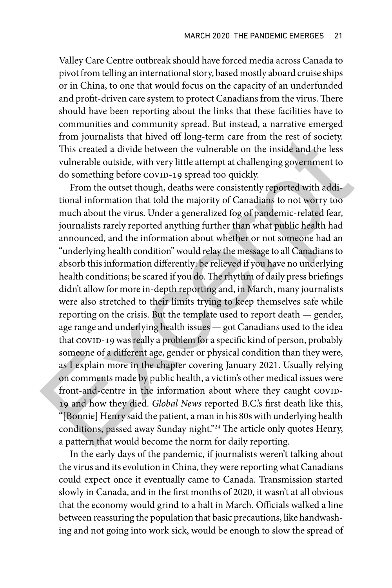Valley Care Centre outbreak should have forced media across Canada to pivot from telling an international story, based mostly aboard cruise ships or in China, to one that would focus on the capacity of an underfunded and profit-driven care system to protect Canadians from the virus. There should have been reporting about the links that these facilities have to communities and community spread. But instead, a narrative emerged from journalists that hived off long-term care from the rest of society. This created a divide between the vulnerable on the inside and the less vulnerable outside, with very little attempt at challenging government to do something before COVID-19 spread too quickly.

From the outset though, deaths were consistently reported with additional information that told the majority of Canadians to not worry too much about the virus. Under a generalized fog of pandemic-related fear, journalists rarely reported anything further than what public health had announced, and the information about whether or not someone had an "underlying health condition" would relay the message to all Canadians to absorb this information differently: be relieved if you have no underlying health conditions; be scared if you do. The rhythm of daily press briefings didn't allow for more in-depth reporting and, in March, many journalists were also stretched to their limits trying to keep themselves safe while reporting on the crisis. But the template used to report death — gender, age range and underlying health issues — got Canadians used to the idea that COVID-19 was really a problem for a specific kind of person, probably someone of a different age, gender or physical condition than they were, as I explain more in the chapter covering January 2021. Usually relying on comments made by public health, a victim's other medical issues were front-and-centre in the information about where they caught COVID-19 and how they died. *Global News* reported B.C.'s first death like this, "[Bonnie] Henry said the patient, a man in his 80s with underlying health conditions, passed away Sunday night."24 The article only quotes Henry, a pattern that would become the norm for daily reporting. from journalists that hived off long-term care from the rest of society.<br>This created a divide between the vulnerable on the inside and the less<br>vulnerable outside, with very little attempt at challenging government to<br>do

In the early days of the pandemic, if journalists weren't talking about the virus and its evolution in China, they were reporting what Canadians could expect once it eventually came to Canada. Transmission started slowly in Canada, and in the first months of 2020, it wasn't at all obvious that the economy would grind to a halt in March. Officials walked a line between reassuring the population that basic precautions, like handwashing and not going into work sick, would be enough to slow the spread of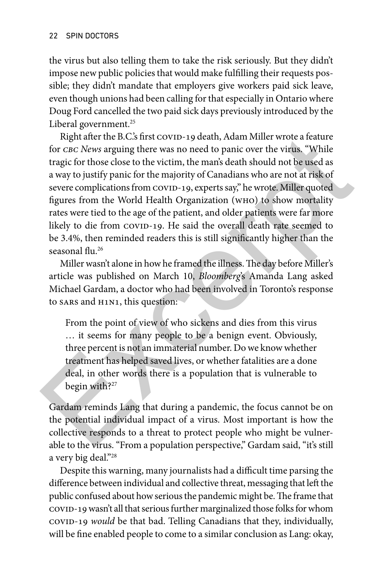the virus but also telling them to take the risk seriously. But they didn't impose new public policies that would make fulfilling their requests possible; they didn't mandate that employers give workers paid sick leave, even though unions had been calling for that especially in Ontario where Doug Ford cancelled the two paid sick days previously introduced by the Liberal government.<sup>25</sup>

Right after the B.C.'s first covid-19 death, Adam Miller wrote a feature for *cbc News* arguing there was no need to panic over the virus. "While tragic for those close to the victim, the man's death should not be used as a way to justify panic for the majority of Canadians who are not at risk of severe complications from COVID-19, experts say," he wrote. Miller quoted figures from the World Health Organization (who) to show mortality rates were tied to the age of the patient, and older patients were far more likely to die from COVID-19. He said the overall death rate seemed to be 3.4%, then reminded readers this is still significantly higher than the seasonal flu.<sup>26</sup> Right after the B.C.'s first covin-19 death, Adam Miller wrote a feature<br>for *CBC* News arguing three was no need to panic over the virus. "While<br>tragic for those close to the vicitin, the man's death should not be used a

Miller wasn't alone in how he framed the illness. The day before Miller's article was published on March 10, *Bloomberg*'s Amanda Lang asked Michael Gardam, a doctor who had been involved in Toronto's response to sars and  $H1N1$ , this question:

From the point of view of who sickens and dies from this virus … it seems for many people to be a benign event. Obviously, three percent is not an immaterial number. Do we know whether treatment has helped saved lives, or whether fatalities are a done deal, in other words there is a population that is vulnerable to begin with?<sup>27</sup>

Gardam reminds Lang that during a pandemic, the focus cannot be on the potential individual impact of a virus. Most important is how the collective responds to a threat to protect people who might be vulnerable to the virus. "From a population perspective," Gardam said, "it's still a very big deal."28

Despite this warning, many journalists had a difficult time parsing the difference between individual and collective threat, messaging that left the public confused about how serious the pandemic might be. The frame that covid-19 wasn't all that serious further marginalized those folks for whom covid-19 *would* be that bad. Telling Canadians that they, individually, will be fine enabled people to come to a similar conclusion as Lang: okay,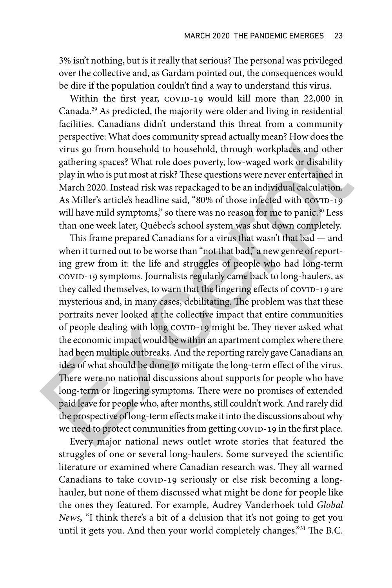3% isn't nothing, but is it really that serious? The personal was privileged over the collective and, as Gardam pointed out, the consequences would be dire if the population couldn't find a way to understand this virus.

Within the first year, COVID-19 would kill more than 22,000 in Canada.29 As predicted, the majority were older and living in residential facilities. Canadians didn't understand this threat from a community perspective: What does community spread actually mean? How does the virus go from household to household, through workplaces and other gathering spaces? What role does poverty, low-waged work or disability play in who is put most at risk? These questions were never entertained in March 2020. Instead risk was repackaged to be an individual calculation. As Miller's article's headline said, "80% of those infected with covin-19 will have mild symptoms," so there was no reason for me to panic.<sup>30</sup> Less than one week later, Québec's school system was shut down completely.

This frame prepared Canadians for a virus that wasn't that bad — and when it turned out to be worse than "not that bad," a new genre of reporting grew from it: the life and struggles of people who had long-term covid-19 symptoms. Journalists regularly came back to long-haulers, as they called themselves, to warn that the lingering effects of COVID-19 are mysterious and, in many cases, debilitating. The problem was that these portraits never looked at the collective impact that entire communities of people dealing with long covin-19 might be. They never asked what the economic impact would be within an apartment complex where there had been multiple outbreaks. And the reporting rarely gave Canadians an idea of what should be done to mitigate the long-term effect of the virus. There were no national discussions about supports for people who have long-term or lingering symptoms. There were no promises of extended paid leave for people who, after months, still couldn't work. And rarely did the prospective of long-term effects make it into the discussions about why we need to protect communities from getting COVID-19 in the first place. perspective: What does community spread actually mean? How does the virus go from household to household, through workplaces and other gathering spaces? What role does poverty, low-waged work or disability play in who is

Every major national news outlet wrote stories that featured the struggles of one or several long-haulers. Some surveyed the scientific literature or examined where Canadian research was. They all warned Canadians to take COVID-19 seriously or else risk becoming a longhauler, but none of them discussed what might be done for people like the ones they featured. For example, Audrey Vanderhoek told *Global News*, "I think there's a bit of a delusion that it's not going to get you until it gets you. And then your world completely changes."31 The B.C.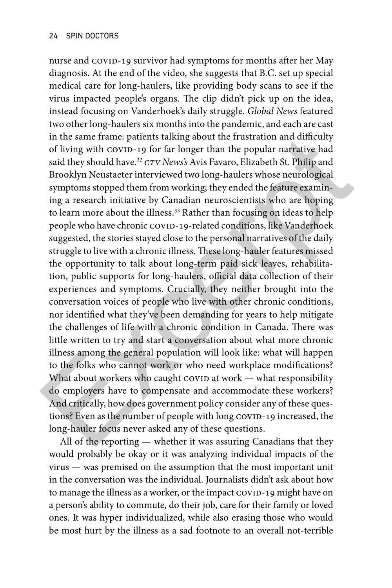nurse and COVID-19 survivor had symptoms for months after her May diagnosis. At the end of the video, she suggests that B.C. set up special medical care for long-haulers, like providing body scans to see if the virus impacted people's organs. The clip didn't pick up on the idea, instead focusing on Vanderhoek's daily struggle. *Global News* featured two other long-haulers six months into the pandemic, and each are cast in the same frame: patients talking about the frustration and difficulty of living with covin-19 for far longer than the popular narrative had said they should have.<sup>32</sup> *cTV News's* Avis Favaro, Elizabeth St. Philip and Brooklyn Neustaeter interviewed two long-haulers whose neurological symptoms stopped them from working; they ended the feature examining a research initiative by Canadian neuroscientists who are hoping to learn more about the illness.<sup>33</sup> Rather than focusing on ideas to help people who have chronic COVID-19-related conditions, like Vanderhoek suggested, the stories stayed close to the personal narratives of the daily struggle to live with a chronic illness. These long-hauler features missed the opportunity to talk about long-term paid sick leaves, rehabilitation, public supports for long-haulers, official data collection of their experiences and symptoms. Crucially, they neither brought into the conversation voices of people who live with other chronic conditions, nor identified what they've been demanding for years to help mitigate the challenges of life with a chronic condition in Canada. There was little written to try and start a conversation about what more chronic illness among the general population will look like: what will happen to the folks who cannot work or who need workplace modifications? What about workers who caught covid at work — what responsibility do employers have to compensate and accommodate these workers? And critically, how does government policy consider any of these questions? Even as the number of people with long COVID-19 increased, the long-hauler focus never asked any of these questions. in the same frame: patients talking about the frustration and difficulty<br>of living with covin-19 for far longer than the popular narrative had<br>aid they should have.<sup>32</sup> crv News's Avis Favaro, Elizabeth St. Philip and<br>Bro

All of the reporting — whether it was assuring Canadians that they would probably be okay or it was analyzing individual impacts of the virus — was premised on the assumption that the most important unit in the conversation was the individual. Journalists didn't ask about how to manage the illness as a worker, or the impact COVID-19 might have on a person's ability to commute, do their job, care for their family or loved ones. It was hyper individualized, while also erasing those who would be most hurt by the illness as a sad footnote to an overall not-terrible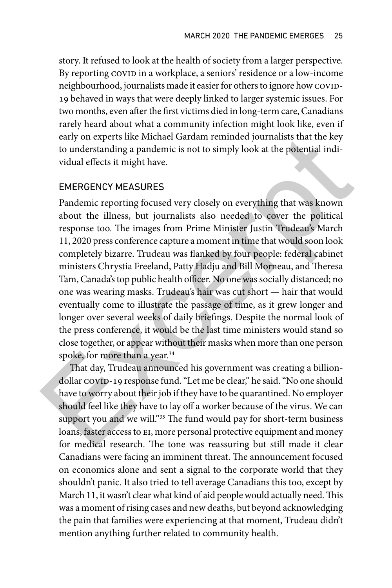story. It refused to look at the health of society from a larger perspective. By reporting covip in a workplace, a seniors' residence or a low-income neighbourhood, journalists made it easier for others to ignore how COVID-19 behaved in ways that were deeply linked to larger systemic issues. For two months, even after the first victims died in long-term care, Canadians rarely heard about what a community infection might look like, even if early on experts like Michael Gardam reminded journalists that the key to understanding a pandemic is not to simply look at the potential individual effects it might have.

### EMERGENCY MEASURES

Pandemic reporting focused very closely on everything that was known about the illness, but journalists also needed to cover the political response too. The images from Prime Minister Justin Trudeau's March 11, 2020 press conference capture a moment in time that would soon look completely bizarre. Trudeau was flanked by four people: federal cabinet ministers Chrystia Freeland, Patty Hadju and Bill Morneau, and Theresa Tam, Canada's top public health officer. No one was socially distanced; no one was wearing masks. Trudeau's hair was cut short — hair that would eventually come to illustrate the passage of time, as it grew longer and longer over several weeks of daily briefings. Despite the normal look of the press conference, it would be the last time ministers would stand so close together, or appear without their masks when more than one person spoke, for more than a year.<sup>34</sup> early on experts like Michael Gardam reminded journalists that the key<br>to understanding a pandemic is not to simply look at the potential indi-<br>vidual effects it might have.<br>EMERGENCY MEASURES<br>Pandemic reporting focused v

That day, Trudeau announced his government was creating a billiondollar covip-19 response fund. "Let me be clear," he said. "No one should have to worry about their job if they have to be quarantined. No employer should feel like they have to lay off a worker because of the virus. We can support you and we will."<sup>35</sup> The fund would pay for short-term business loans, faster access to EI, more personal protective equipment and money for medical research. The tone was reassuring but still made it clear Canadians were facing an imminent threat. The announcement focused on economics alone and sent a signal to the corporate world that they shouldn't panic. It also tried to tell average Canadians this too, except by March 11, it wasn't clear what kind of aid people would actually need. This was a moment of rising cases and new deaths, but beyond acknowledging the pain that families were experiencing at that moment, Trudeau didn't mention anything further related to community health.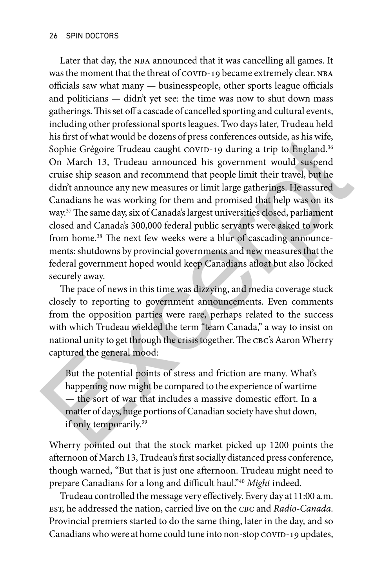Later that day, the NBA announced that it was cancelling all games. It was the moment that the threat of COVID-19 became extremely clear. NBA officials saw what many — businesspeople, other sports league officials and politicians — didn't yet see: the time was now to shut down mass gatherings. This set off a cascade of cancelled sporting and cultural events, including other professional sports leagues. Two days later, Trudeau held his first of what would be dozens of press conferences outside, as his wife, Sophie Grégoire Trudeau caught COVID-19 during a trip to England.<sup>36</sup> On March 13, Trudeau announced his government would suspend cruise ship season and recommend that people limit their travel, but he didn't announce any new measures or limit large gatherings. He assured Canadians he was working for them and promised that help was on its way.37 The same day, six of Canada's largest universities closed, parliament closed and Canada's 300,000 federal public servants were asked to work from home.<sup>38</sup> The next few weeks were a blur of cascading announcements: shutdowns by provincial governments and new measures that the federal government hoped would keep Canadians afloat but also locked securely away. his first of what would be dozens of press conferences outside, as his wife,<br>Sophie Grégoire Trudeau caught covup-19 during a trip to England.<sup>36</sup><br>On March 13, Trudeau announced his government would suspend<br>cruise ship se

The pace of news in this time was dizzying, and media coverage stuck closely to reporting to government announcements. Even comments from the opposition parties were rare, perhaps related to the success with which Trudeau wielded the term "team Canada," a way to insist on national unity to get through the crisis together. The CBC's Aaron Wherry captured the general mood:

But the potential points of stress and friction are many. What's happening now might be compared to the experience of wartime — the sort of war that includes a massive domestic effort. In a matter of days, huge portions of Canadian society have shut down, if only temporarily.<sup>39</sup>

Wherry pointed out that the stock market picked up 1200 points the afternoon of March 13, Trudeau's first socially distanced press conference, though warned, "But that is just one afternoon. Trudeau might need to prepare Canadians for a long and difficult haul."40 *Might* indeed.

Trudeau controlled the message very effectively. Every day at 11:00 a.m. est, he addressed the nation, carried live on the *cbc* and *Radio-Canada*. Provincial premiers started to do the same thing, later in the day, and so Canadians who were at home could tune into non-stop COVID-19 updates,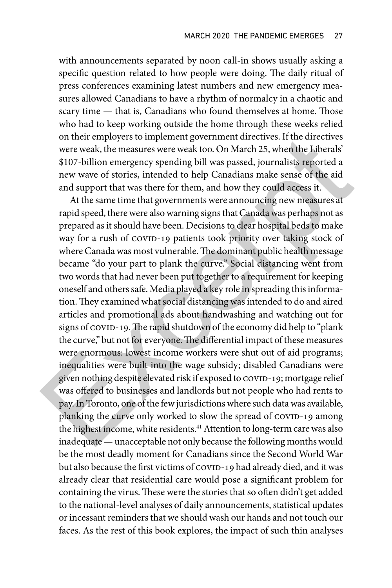with announcements separated by noon call-in shows usually asking a specific question related to how people were doing. The daily ritual of press conferences examining latest numbers and new emergency measures allowed Canadians to have a rhythm of normalcy in a chaotic and scary time — that is, Canadians who found themselves at home. Those who had to keep working outside the home through these weeks relied on their employers to implement government directives. If the directives were weak, the measures were weak too. On March 25, when the Liberals' \$107-billion emergency spending bill was passed, journalists reported a new wave of stories, intended to help Canadians make sense of the aid and support that was there for them, and how they could access it.

At the same time that governments were announcing new measures at rapid speed, there were also warning signs that Canada was perhaps not as prepared as it should have been. Decisions to clear hospital beds to make way for a rush of COVID-19 patients took priority over taking stock of where Canada was most vulnerable. The dominant public health message became "do your part to plank the curve." Social distancing went from two words that had never been put together to a requirement for keeping oneself and others safe. Media played a key role in spreading this information. They examined what social distancing was intended to do and aired articles and promotional ads about handwashing and watching out for signs of COVID-19. The rapid shutdown of the economy did help to "plank the curve," but not for everyone. The differential impact of these measures were enormous: lowest income workers were shut out of aid programs; inequalities were built into the wage subsidy; disabled Canadians were given nothing despite elevated risk if exposed to COVID-19; mortgage relief was offered to businesses and landlords but not people who had rents to pay. In Toronto, one of the few jurisdictions where such data was available, planking the curve only worked to slow the spread of COVID-19 among the highest income, white residents.<sup>41</sup> Attention to long-term care was also inadequate — unacceptable not only because the following months would be the most deadly moment for Canadians since the Second World War but also because the first victims of COVID-19 had already died, and it was already clear that residential care would pose a significant problem for containing the virus. These were the stories that so often didn't get added to the national-level analyses of daily announcements, statistical updates or incessant reminders that we should wash our hands and not touch our faces. As the rest of this book explores, the impact of such thin analyses on their employers to implement government directives. If the directives<br>were weak, the measures were weak too. On March 25, when the Liberals<sup>2</sup><br>s107-billion emergency spending bill was passed, journalists reported a<br>new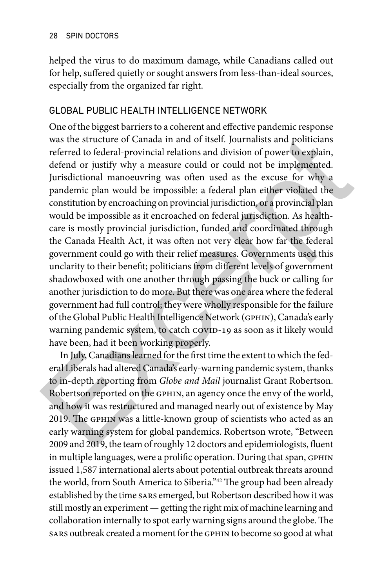helped the virus to do maximum damage, while Canadians called out for help, suffered quietly or sought answers from less-than-ideal sources, especially from the organized far right.

### GLOBAL PUBLIC HEALTH INTELLIGENCE NETWORK

One of the biggest barriers to a coherent and effective pandemic response was the structure of Canada in and of itself. Journalists and politicians referred to federal-provincial relations and division of power to explain, defend or justify why a measure could or could not be implemented. Jurisdictional manoeuvring was often used as the excuse for why a pandemic plan would be impossible: a federal plan either violated the constitution by encroaching on provincial jurisdiction, or a provincial plan would be impossible as it encroached on federal jurisdiction. As healthcare is mostly provincial jurisdiction, funded and coordinated through the Canada Health Act, it was often not very clear how far the federal government could go with their relief measures. Governments used this unclarity to their benefit; politicians from different levels of government shadowboxed with one another through passing the buck or calling for another jurisdiction to do more. But there was one area where the federal government had full control; they were wholly responsible for the failure of the Global Public Health Intelligence Network (GPHIN), Canada's early warning pandemic system, to catch covin-19 as soon as it likely would have been, had it been working properly. was the structure of Canada in and of itself. Journalists and politicians<br>referred to federal-provincial relations and division of power to explain,<br>defind or justify why a measure could not to the implemented.<br>Irisdictio

In July, Canadians learned for the first time the extent to which the federal Liberals had altered Canada's early-warning pandemic system, thanks to in-depth reporting from *Globe and Mail* journalist Grant Robertson. Robertson reported on the GPHIN, an agency once the envy of the world, and how it was restructured and managed nearly out of existence by May 2019. The GPHIN was a little-known group of scientists who acted as an early warning system for global pandemics. Robertson wrote, "Between 2009 and 2019, the team of roughly 12 doctors and epidemiologists, fluent in multiple languages, were a prolific operation. During that span, GPHIN issued 1,587 international alerts about potential outbreak threats around the world, from South America to Siberia."<sup>42</sup> The group had been already established by the time sars emerged, but Robertson described how it was still mostly an experiment — getting the right mix of machine learning and collaboration internally to spot early warning signs around the globe. The sars outbreak created a moment for the GPHIN to become so good at what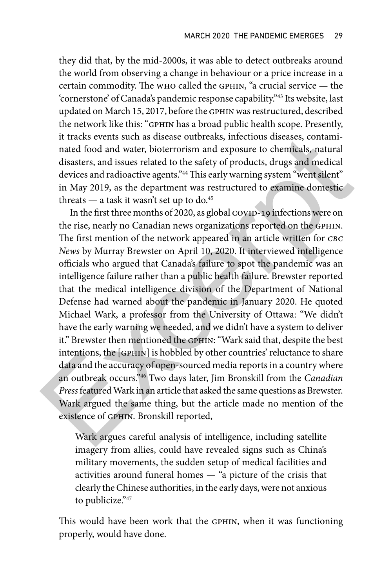they did that, by the mid-2000s, it was able to detect outbreaks around the world from observing a change in behaviour or a price increase in a certain commodity. The who called the gphin, "a crucial service — the 'cornerstone' of Canada's pandemic response capability."43 Its website, last updated on March 15, 2017, before the GPHIN was restructured, described the network like this: "GPHIN has a broad public health scope. Presently, it tracks events such as disease outbreaks, infectious diseases, contaminated food and water, bioterrorism and exposure to chemicals, natural disasters, and issues related to the safety of products, drugs and medical devices and radioactive agents."44 This early warning system "went silent" in May 2019, as the department was restructured to examine domestic threats  $-$  a task it wasn't set up to do.<sup>45</sup>

In the first three months of 2020, as global covid-19 infections were on the rise, nearly no Canadian news organizations reported on the GPHIN. The first mention of the network appeared in an article written for *cbc News* by Murray Brewster on April 10, 2020. It interviewed intelligence officials who argued that Canada's failure to spot the pandemic was an intelligence failure rather than a public health failure. Brewster reported that the medical intelligence division of the Department of National Defense had warned about the pandemic in January 2020. He quoted Michael Wark, a professor from the University of Ottawa: "We didn't have the early warning we needed, and we didn't have a system to deliver it." Brewster then mentioned the GPHIN: "Wark said that, despite the best intentions, the [GPHIN] is hobbled by other countries' reluctance to share data and the accuracy of open-sourced media reports in a country where an outbreak occurs."46 Two days later, Jim Bronskill from the *Canadian Press* featured Wark in an article that asked the same questions as Brewster. Wark argued the same thing, but the article made no mention of the existence of gphin. Bronskill reported, it tracks events such as disease outbreaks, infectious diseases, contaminated food and water, bioterrorism and exposure to chemicals, natural disasters, and issues related to the safety of products, drugs and medical devi

Wark argues careful analysis of intelligence, including satellite imagery from allies, could have revealed signs such as China's military movements, the sudden setup of medical facilities and activities around funeral homes — "a picture of the crisis that clearly the Chinese authorities, in the early days, were not anxious to publicize."47

This would have been work that the GPHIN, when it was functioning properly, would have done.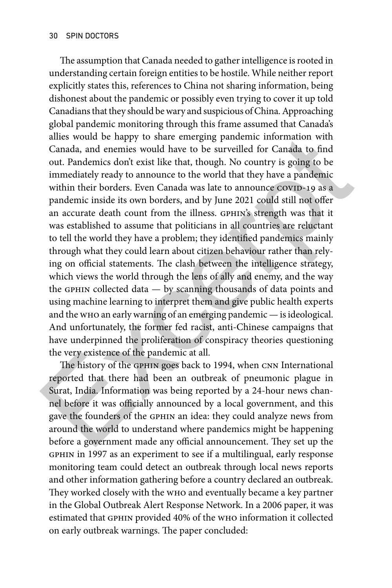The assumption that Canada needed to gather intelligence is rooted in understanding certain foreign entities to be hostile. While neither report explicitly states this, references to China not sharing information, being dishonest about the pandemic or possibly even trying to cover it up told Canadians that they should be wary and suspicious of China. Approaching global pandemic monitoring through this frame assumed that Canada's allies would be happy to share emerging pandemic information with Canada, and enemies would have to be surveilled for Canada to find out. Pandemics don't exist like that, though. No country is going to be immediately ready to announce to the world that they have a pandemic within their borders. Even Canada was late to announce COVID-19 as a pandemic inside its own borders, and by June 2021 could still not offer an accurate death count from the illness. GPHIN's strength was that it was established to assume that politicians in all countries are reluctant to tell the world they have a problem; they identified pandemics mainly through what they could learn about citizen behaviour rather than relying on official statements. The clash between the intelligence strategy, which views the world through the lens of ally and enemy, and the way the GPHIN collected data  $-$  by scanning thousands of data points and using machine learning to interpret them and give public health experts and the who an early warning of an emerging pandemic — is ideological. And unfortunately, the former fed racist, anti-Chinese campaigns that have underpinned the proliferation of conspiracy theories questioning the very existence of the pandemic at all. allies would be happy to share emerging pandemic information with<br>Canada, and enemies would have to be surveilled for Canada to find<br>ut. Pandemics don't exist like that, though. No country is going to be<br>immediately ready

The history of the GPHIN goes back to 1994, when CNN International reported that there had been an outbreak of pneumonic plague in Surat, India. Information was being reported by a 24-hour news channel before it was officially announced by a local government, and this gave the founders of the GPHIN an idea: they could analyze news from around the world to understand where pandemics might be happening before a government made any official announcement. They set up the gphin in 1997 as an experiment to see if a multilingual, early response monitoring team could detect an outbreak through local news reports and other information gathering before a country declared an outbreak. They worked closely with the who and eventually became a key partner in the Global Outbreak Alert Response Network. In a 2006 paper, it was estimated that GPHIN provided 40% of the WHO information it collected on early outbreak warnings. The paper concluded: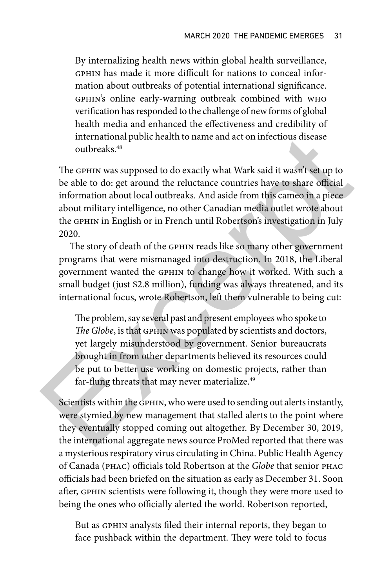By internalizing health news within global health surveillance, gphin has made it more difficult for nations to conceal information about outbreaks of potential international significance. GPHIN's online early-warning outbreak combined with WHO verification has responded to the challenge of new forms of global health media and enhanced the effectiveness and credibility of international public health to name and act on infectious disease outbreaks.48

The GPHIN was supposed to do exactly what Wark said it wasn't set up to be able to do: get around the reluctance countries have to share official information about local outbreaks. And aside from this cameo in a piece about military intelligence, no other Canadian media outlet wrote about the GPHIN in English or in French until Robertson's investigation in July 2020. international public health to name and act on infectious disease<br>
outbreaks.<sup>48</sup><br>
The GPHIN was supposed to do exactly what Wark said it wasn't set up to<br>
be able to do: get around the reluctance countries have to share

The story of death of the GPHIN reads like so many other government programs that were mismanaged into destruction. In 2018, the Liberal government wanted the GPHIN to change how it worked. With such a small budget (just \$2.8 million), funding was always threatened, and its international focus, wrote Robertson, left them vulnerable to being cut:

The problem, say several past and present employees who spoke to The Globe, is that GPHIN was populated by scientists and doctors, yet largely misunderstood by government. Senior bureaucrats brought in from other departments believed its resources could be put to better use working on domestic projects, rather than far-flung threats that may never materialize.<sup>49</sup>

Scientists within the GPHIN, who were used to sending out alerts instantly, were stymied by new management that stalled alerts to the point where they eventually stopped coming out altogether. By December 30, 2019, the international aggregate news source ProMed reported that there was a mysterious respiratory virus circulating in China. Public Health Agency of Canada (phac) officials told Robertson at the *Globe* that senior phac officials had been briefed on the situation as early as December 31. Soon after, gphin scientists were following it, though they were more used to being the ones who officially alerted the world. Robertson reported,

But as GPHIN analysts filed their internal reports, they began to face pushback within the department. They were told to focus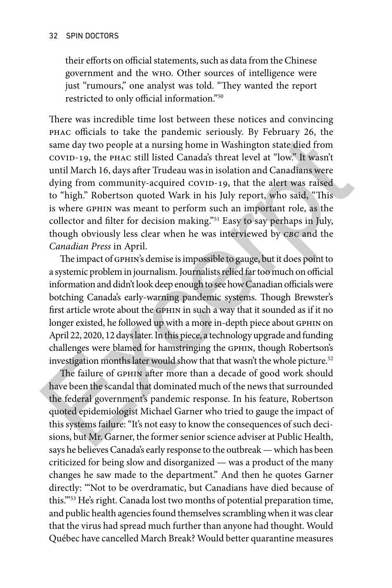their efforts on official statements, such as data from the Chinese government and the who. Other sources of intelligence were just "rumours," one analyst was told. "They wanted the report restricted to only official information."50

There was incredible time lost between these notices and convincing phac officials to take the pandemic seriously. By February 26, the same day two people at a nursing home in Washington state died from covid-19, the phac still listed Canada's threat level at "low." It wasn't until March 16, days after Trudeau was in isolation and Canadians were dying from community-acquired COVID-19, that the alert was raised to "high." Robertson quoted Wark in his July report, who said, "This is where gphin was meant to perform such an important role, as the collector and filter for decision making."<sup>51</sup> Easy to say perhaps in July, though obviously less clear when he was interviewed by *cbc* and the *Canadian Press* in April. Fract onterains to take the parameteriors,  $\frac{1}{2}$  of the finder and any too people at a nursing home in Washington state died from covin-19, the PHAC still listed Canada's threat level at "low." It wasn't until March 1

The impact of GPHIN's demise is impossible to gauge, but it does point to a systemic problem in journalism. Journalists relied far too much on official information and didn't look deep enough to see how Canadian officials were botching Canada's early-warning pandemic systems. Though Brewster's first article wrote about the GPHIN in such a way that it sounded as if it no longer existed, he followed up with a more in-depth piece about GPHIN on April 22, 2020, 12 days later. In this piece, a technology upgrade and funding challenges were blamed for hamstringing the GPHIN, though Robertson's investigation months later would show that that wasn't the whole picture.<sup>52</sup>

The failure of GPHIN after more than a decade of good work should have been the scandal that dominated much of the news that surrounded the federal government's pandemic response. In his feature, Robertson quoted epidemiologist Michael Garner who tried to gauge the impact of this systems failure: "It's not easy to know the consequences of such decisions, but Mr. Garner, the former senior science adviser at Public Health, says he believes Canada's early response to the outbreak — which has been criticized for being slow and disorganized — was a product of the many changes he saw made to the department." And then he quotes Garner directly: "'Not to be overdramatic, but Canadians have died because of this.'"53 He's right. Canada lost two months of potential preparation time, and public health agencies found themselves scrambling when it was clear that the virus had spread much further than anyone had thought. Would Québec have cancelled March Break? Would better quarantine measures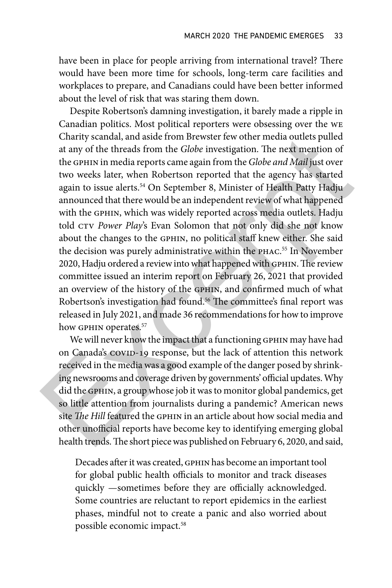have been in place for people arriving from international travel? There would have been more time for schools, long-term care facilities and workplaces to prepare, and Canadians could have been better informed about the level of risk that was staring them down.

Despite Robertson's damning investigation, it barely made a ripple in Canadian politics. Most political reporters were obsessing over the we Charity scandal, and aside from Brewster few other media outlets pulled at any of the threads from the *Globe* investigation. The next mention of the GPHIN in media reports came again from the *Globe and Mail* just over two weeks later, when Robertson reported that the agency has started again to issue alerts.<sup>54</sup> On September 8, Minister of Health Patty Hadju announced that there would be an independent review of what happened with the GPHIN, which was widely reported across media outlets. Hadju told CTV Power Play's Evan Solomon that not only did she not know about the changes to the GPHIN, no political staff knew either. She said the decision was purely administrative within the phac. 55 In November 2020, Hadju ordered a review into what happened with GPHIN. The review committee issued an interim report on February 26, 2021 that provided an overview of the history of the GPHIN, and confirmed much of what Robertson's investigation had found.<sup>56</sup> The committee's final report was released in July 2021, and made 36 recommendations for how to improve how GPHIN operates.<sup>57</sup> Charity scandal, and aside from Brewster few other media outlets pulled<br>at any of the threads from the *Globe* investigation. The next mention of<br>the oriny in media reports came again from the *Globe and Mail* just over<br>t

We will never know the impact that a functioning GPHIN may have had on Canada's covin-19 response, but the lack of attention this network received in the media was a good example of the danger posed by shrinking newsrooms and coverage driven by governments' official updates. Why did the gphin, a group whose job it was to monitor global pandemics, get so little attention from journalists during a pandemic? American news site *The Hill* featured the GPHIN in an article about how social media and other unofficial reports have become key to identifying emerging global health trends. The short piece was published on February 6, 2020, and said,

Decades after it was created, GPHIN has become an important tool for global public health officials to monitor and track diseases quickly —sometimes before they are officially acknowledged. Some countries are reluctant to report epidemics in the earliest phases, mindful not to create a panic and also worried about possible economic impact.58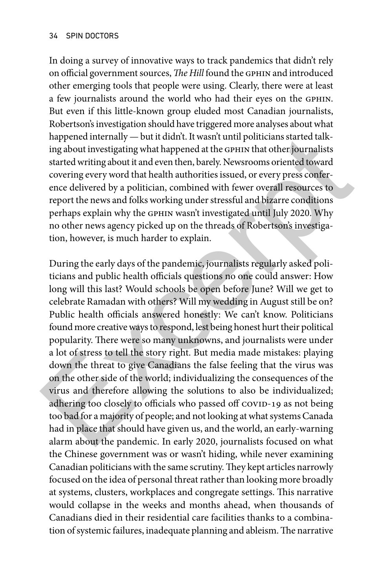In doing a survey of innovative ways to track pandemics that didn't rely on official government sources, *The Hill* found the GPHIN and introduced other emerging tools that people were using. Clearly, there were at least a few journalists around the world who had their eyes on the GPHIN. But even if this little-known group eluded most Canadian journalists, Robertson's investigation should have triggered more analyses about what happened internally — but it didn't. It wasn't until politicians started talking about investigating what happened at the GPHIN that other journalists started writing about it and even then, barely. Newsrooms oriented toward covering every word that health authorities issued, or every press conference delivered by a politician, combined with fewer overall resources to report the news and folks working under stressful and bizarre conditions perhaps explain why the GPHIN wasn't investigated until July 2020. Why no other news agency picked up on the threads of Robertson's investigation, however, is much harder to explain.

During the early days of the pandemic, journalists regularly asked politicians and public health officials questions no one could answer: How long will this last? Would schools be open before June? Will we get to celebrate Ramadan with others? Will my wedding in August still be on? Public health officials answered honestly: We can't know. Politicians found more creative ways to respond, lest being honest hurt their political popularity. There were so many unknowns, and journalists were under a lot of stress to tell the story right. But media made mistakes: playing down the threat to give Canadians the false feeling that the virus was on the other side of the world; individualizing the consequences of the virus and therefore allowing the solutions to also be individualized; adhering too closely to officials who passed off COVID-19 as not being too bad for a majority of people; and not looking at what systems Canada had in place that should have given us, and the world, an early-warning alarm about the pandemic. In early 2020, journalists focused on what the Chinese government was or wasn't hiding, while never examining Canadian politicians with the same scrutiny. They kept articles narrowly focused on the idea of personal threat rather than looking more broadly at systems, clusters, workplaces and congregate settings. This narrative would collapse in the weeks and months ahead, when thousands of Canadians died in their residential care facilities thanks to a combination of systemic failures, inadequate planning and ableism. The narrative happened internally — but it didn't. It wasn't until politicians started talking about investigating what happened at the ore<br>investigating what happened at the ore started witting about intereform,<br>has tarted writing abo